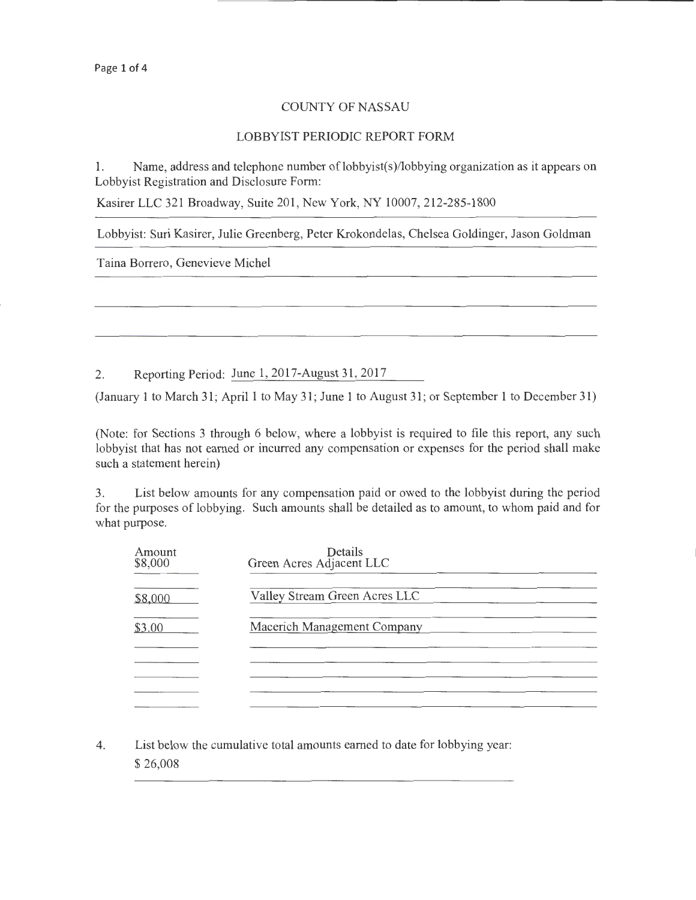## COUNTY OF NASSAU

## LOBBYIST PERIODIC REPORT FORM

1. Name, address and telephone number of lobbyist(s)/lobbying organization as it appears on Lobbyist Registration and Disclosure Form:

Kasirer LLC 321 Broadway, Suite 201, New York, NY 10007, 212-285-1800

Lobbyist: Suri Kasirer, Julie Greenberg, Peter Krokondelas, Chelsea Goldinger, Jason Goldman

Taina Borrero, Genevieve Michel

2. Reporting Period: June 1, 2017-August 31,2017

(January 1 to March 31; April 1 to May 31; June 1 to August 31; or September 1 to December 31)

(Note: for Sections 3 through 6 below, where a lobbyist is required to file this report, any such lobbyist that has not earned or incurred any compensation or expenses for the period shall make such a statement herein)

3. List below amounts for any compensation paid or owed to the lobbyist during the period for the purposes of lobbying. Such amounts shall be detailed as to amount, to whom paid and for what purpose.

| Amount<br>\$8,000 | Details<br>Green Acres Adjacent LLC |
|-------------------|-------------------------------------|
| \$8,000           | Valley Stream Green Acres LLC       |
| \$3.00            | Macerich Management Company         |
|                   |                                     |
|                   |                                     |
|                   |                                     |

4. List below the cumulative total amounts earned to date for lobbying year: \$26,008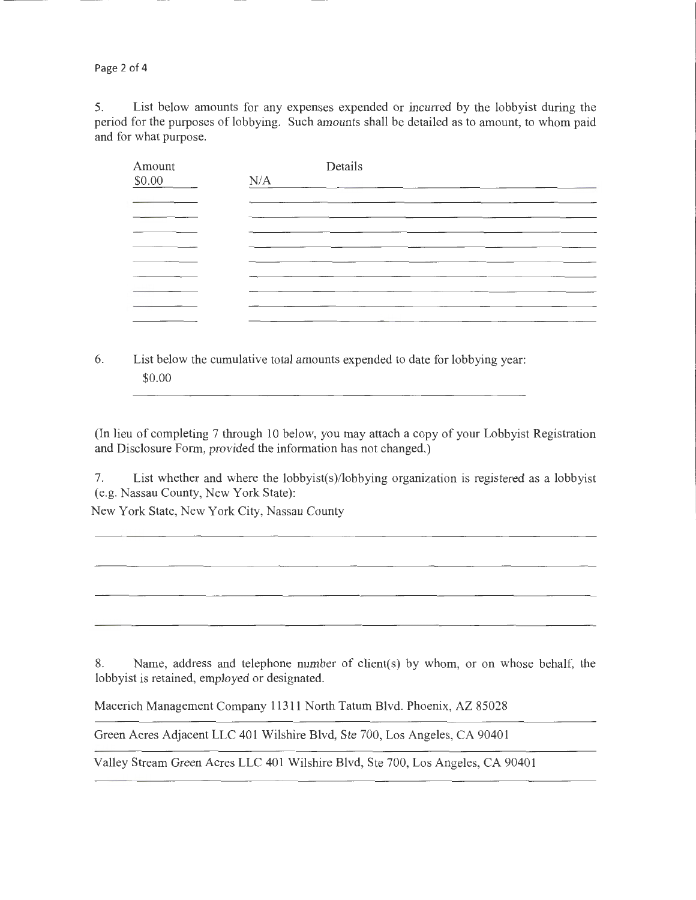Page 2 of 4

5. List below amounts for any expenses expended or incurred by the lobbyist during the period for the purposes of lobbying. Such amounts shall be detailed as to amount, to whom paid and for what purpose.

| Amount | Details                                                                                |
|--------|----------------------------------------------------------------------------------------|
| \$0.00 | N/A<br>the contract of the contract of the contract of the contract of the contract of |
|        |                                                                                        |
|        |                                                                                        |
|        |                                                                                        |
|        |                                                                                        |
|        |                                                                                        |
|        |                                                                                        |
|        |                                                                                        |
|        |                                                                                        |
|        |                                                                                        |

6. List below the cumulative total amounts expended to date for lobbying year: \$0.00

(In lieu of completing 7 through 10 below, you may attach a copy of your Lobbyist Registration and Disclosure Form, provided the information has not changed.)

7. List whether and where the lobbyist(s)/lobbying organization is registered as a lobbyist (e.g. Nassau County, New York State):

New York State, New York City, Nassau County

8. Name, address and telephone number of client(s) by whom, or on whose behalf, the lobbyist is retained, employed or designated.

Macerich Management Company 11311 North Tatum Blvd. Phoenix, AZ 85028

Green Acres Adjacent LLC 401 Wilshire Blvd, Ste 700, Los Angeles, CA 90401

Valley Stream Green Acres LLC 401 Wilshire Blvd, Ste 700, Los Angeles, CA 90401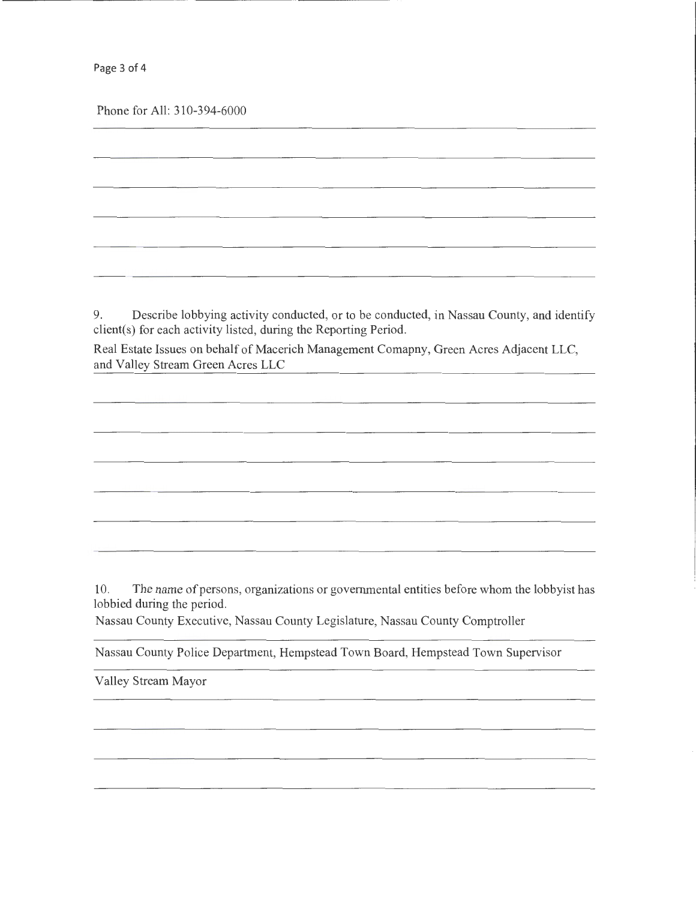Page 3 of 4

Phone for All: 310-394-6000

9. Describe lobbying activity conducted, or to be conducted, in Nassau County, and identify client(s) for each activity listed, during the Reporting Period.

Real Estate Issues on behalf of Macerich Management Comapny, Green Acres Adjacent LLC, and Valley Stream Green Acres LLC

10. The name of persons, organizations or governmental entities before whom the lobbyist has lobbied during the period.

Nassau County Executive, Nassau County Legislature, Nassau County Comptroller

Nassau County Police Department, Hempstead Town Board, Hempstead Town Supervisor

Valley Stream Mayor